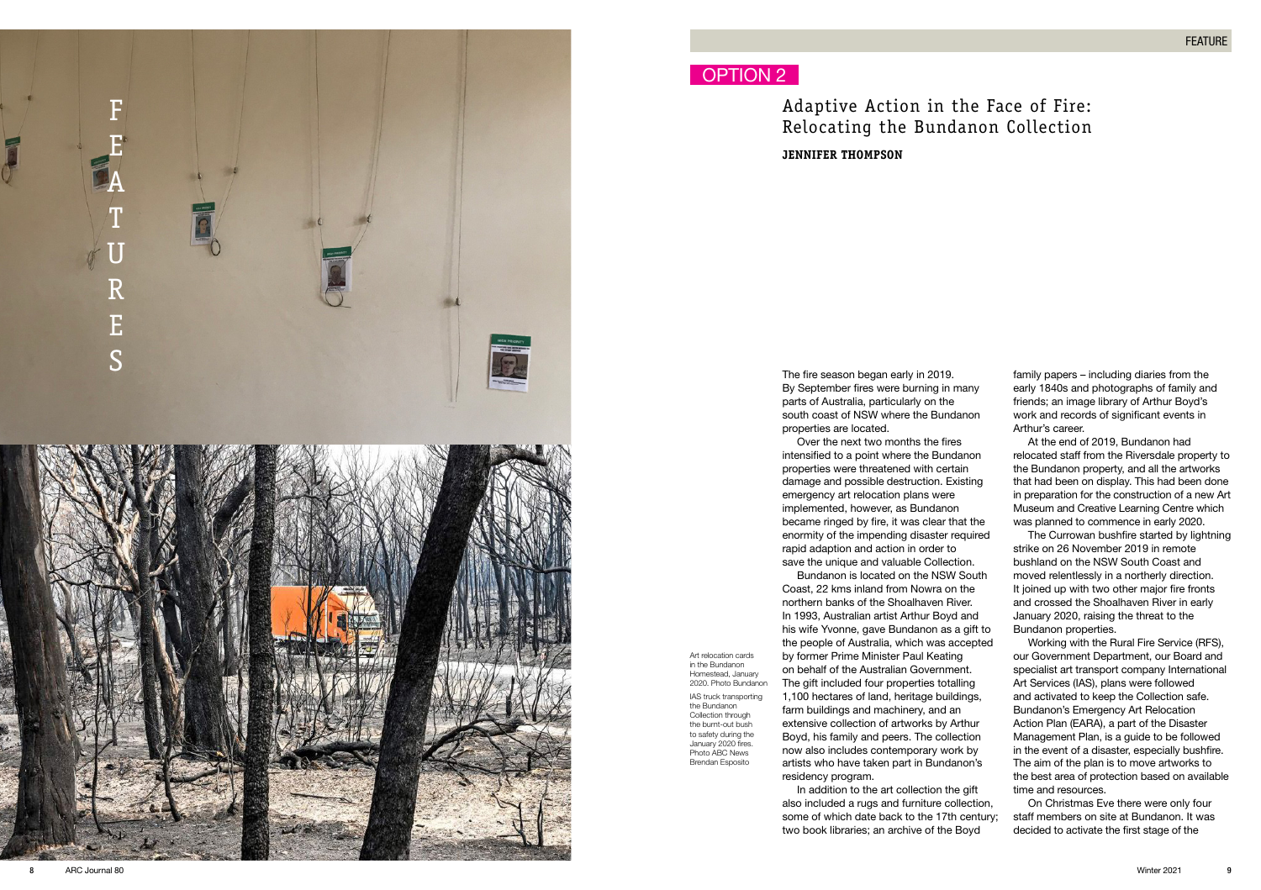

Art relocation cards in the Bundanon Homestead, January 2020. Photo Bundanon IAS truck transporting the Bundanon Collection through the burnt-out bush to safety during the January 2020 fires. Photo ABC News Brendan Esposito

Adaptive Action in the Face of Fire: Relocating the Bundanon Collection **JENNIFER THOMPSON**

The fire season began early in 2019. By September fires were burning in many parts of Australia, particularly on the south coast of NSW where the Bundanon properties are located.

Over the next two months the fires intensified to a point where the Bundanon properties were threatened with certain damage and possible destruction. Existing emergency art relocation plans were implemented, however, as Bundanon became ringed by fire, it was clear that the enormity of the impending disaster required rapid adaption and action in order to save the unique and valuable Collection.

Bundanon is located on the NSW South Coast, 22 kms inland from Nowra on the northern banks of the Shoalhaven River. In 1993, Australian artist Arthur Boyd and his wife Yvonne, gave Bundanon as a gift to the people of Australia, which was accepted by former Prime Minister Paul Keating on behalf of the Australian Government. The gift included four properties totalling 1,100 hectares of land, heritage buildings, farm buildings and machinery, and an extensive collection of artworks by Arthur Boyd, his family and peers. The collection now also includes contemporary work by artists who have taken part in Bundanon's residency program.

In addition to the art collection the gift also included a rugs and furniture collection, some of which date back to the 17th century; two book libraries; an archive of the Boyd

family papers – including diaries from the early 1840s and photographs of family and friends; an image library of Arthur Boyd's work and records of significant events in Arthur's career.

At the end of 2019, Bundanon had relocated staff from the Riversdale property to the Bundanon property, and all the artworks that had been on display. This had been done in preparation for the construction of a new Art Museum and Creative Learning Centre which was planned to commence in early 2020.

The Currowan bushfire started by lightning strike on 26 November 2019 in remote bushland on the NSW South Coast and moved relentlessly in a northerly direction. It joined up with two other major fire fronts and crossed the Shoalhaven River in early January 2020, raising the threat to the Bundanon properties.

Working with the Rural Fire Service (RFS), our Government Department, our Board and specialist art transport company International Art Services (IAS), plans were followed and activated to keep the Collection safe. Bundanon's Emergency Art Relocation Action Plan (EARA), a part of the Disaster Management Plan, is a guide to be followed in the event of a disaster, especially bushfire. The aim of the plan is to move artworks to the best area of protection based on available time and resources.

On Christmas Eve there were only four staff members on site at Bundanon. It was decided to activate the first stage of the

9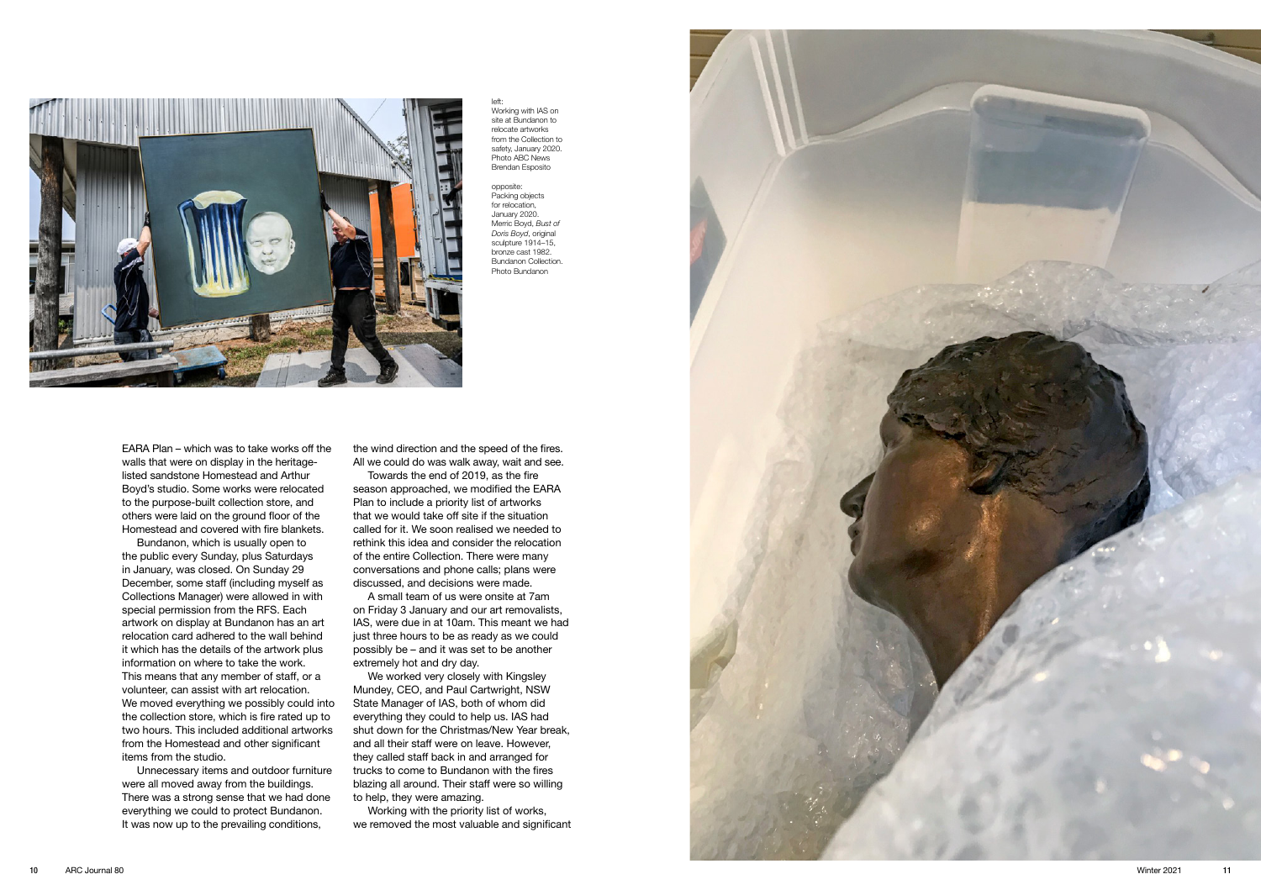

left: Working with IAS on site at Bundanon to relocate artworks from the Collection to safety, January 2020. Photo ABC News Brendan Esposito

opposite: Packing objects for relocation, January 2020. Merric Boyd, *Bust of Doris Boyd*, original sculpture 1914–15. bronze cast 1982. Bundanon Collection. Photo Bundanon

EARA Plan – which was to take works off the walls that were on display in the heritagelisted sandstone Homestead and Arthur Boyd's studio. Some works were relocated to the purpose-built collection store, and others were laid on the ground floor of the Homestead and covered with fire blankets.

Bundanon, which is usually open to the public every Sunday, plus Saturdays in January, was closed. On Sunday 29 December, some staff (including myself as Collections Manager) were allowed in with special permission from the RFS. Each artwork on display at Bundanon has an art relocation card adhered to the wall behind it which has the details of the artwork plus information on where to take the work. This means that any member of staff, or a volunteer, can assist with art relocation. We moved everything we possibly could into the collection store, which is fire rated up to two hours. This included additional artworks from the Homestead and other significant items from the studio.

Unnecessary items and outdoor furniture were all moved away from the buildings. There was a strong sense that we had done everything we could to protect Bundanon. It was now up to the prevailing conditions,

the wind direction and the speed of the fires. All we could do was walk away, wait and see.

Towards the end of 2019, as the fire season approached, we modified the EARA Plan to include a priority list of artworks that we would take off site if the situation called for it. We soon realised we needed to rethink this idea and consider the relocation of the entire Collection. There were many conversations and phone calls; plans were discussed, and decisions were made.

A small team of us were onsite at 7am on Friday 3 January and our art removalists, IAS, were due in at 10am. This meant we had just three hours to be as ready as we could possibly be – and it was set to be another extremely hot and dry day.

We worked very closely with Kingsley Mundey, CEO, and Paul Cartwright, NSW State Manager of IAS, both of whom did everything they could to help us. IAS had shut down for the Christmas/New Year break, and all their staff were on leave. However, they called staff back in and arranged for trucks to come to Bundanon with the fires blazing all around. Their staff were so willing to help, they were amazing.

Working with the priority list of works, we removed the most valuable and significant